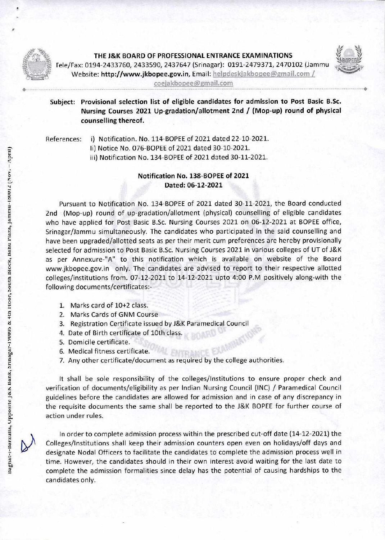

•-

**THE J&K BOARD OF PROFESSIONAL ENTRANCE EXAMINATIONS**  fele/Fax: 0194-2433760, 2433590, 2437647 (Srinagar): 0191-2479371, 2470102 (Jammu 3,/ •,' • Website: **http://www.jkbopee.gov.in,** Email: **heipdeskjakbopee@gmail.com**  coejakbopee@gmail.com



**Subject: Provisional selection list of eligible candidates for admission to Post Basic B.Sc. Nursing Courses 2021 Up-gradation/allotment 2nd / (Mop-up) round of physical counselling thereof.** 

References: i) Notification. No. 114-BOPEE of 2021 dated 22-10-2021.

ii) Notice No. 076-BOPEE of 2021 dated 30-10-2021.

iii) Notification No. 134-BOPEE of 2021 dated 30-11-2021.

## **Notification No. 138-BOPEE of 2021 Dated: 06-12-2021**

Pursuant to Notification No. 134-BOPEE of 2021 dated 30-11-2021, the Board conducted 2nd (Mop-up) round of up-gradation/allotment (physical) counselling of eligible candidates who have applied for Post Basic B.Sc. Nursing Courses 2021 on 06-12-2021 at BOPEE office, Srinagar/Jammu simultaneously. The candidates who participated in the said counselling and have been upgraded/allotted seats as per their merit cum preferences are hereby provisionally selected for admission to Post Basic B.Sc. Nursing Courses 2021 in various colleges of UT of J&K as per Annexure-"A" to this notification which is available on website of the Board www.jkbopee.gov.in only. The candidates are advised to report to their respective allotted colleges/institutions from. 07-12-2021 to 14-12-2021 upto 4:00 P.M positively along-with the following documents/certificates:-

- 1. Marks card of 10+2 class.
- 2. Marks Cards of GNM Course
- 3. Registration Certificate issued by J&K Paramedical Council
- 4. Date of Birth certificate of 10th class.
- 5. Domicile certificate.
- 6. Medical fitness certificate.
- 7. Any other certificate/document as required by the college authorities.

It shall be sole responsibility of the colleges/Institutions to ensure proper check and verification of documents/eligibility as per Indian Nursing Council (INC) / Paramedical Council guidelines before the candidates are allowed for admission and in case of any discrepancy in the requisite documents the same shall be reported to the J&K BOPEE for further course of action under rules.

In order to complete admission process within the prescribed cut-off date (14-12-2021) the Colleges/Institutions shall keep their admission counters open even on holidays/off days and designate Nodal Officers to facilitate the candidates to complete the admission process well in time. However, the candidates should in their own interest avoid waiting for the last date to complete the admission formalities since delay has the potential of causing hardships to the candidates only.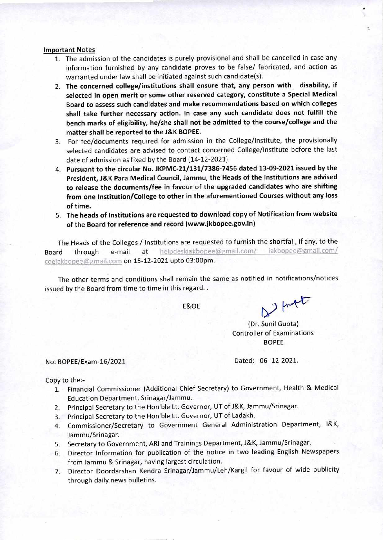## **Important Notes**

- 1. The admission of the candidates is purely provisional and shall be cancelled in case any information furnished by any candidate proves to be false/ fabricated, and action as warranted under law shall be initiated against such candidate(s).
- **2. The concerned college/institutions shall ensure that, any person with disability, if selected in open merit or some other reserved category, constitute a Special Medical Board to assess such candidates and make recommendations based on which colleges shall take further necessary action. In case any such candidate does not fulfill the bench marks of eligibility, he/she shall not be admitted to the course/college and the matter shall be reported to the J&K BOPEE.**
- 3. For fee/documents required for admission in the College/Institute, the provisionally selected candidates are advised to contact concerned College/Institute before the last date of admission as fixed by the Board (14-12-2021).
- **4. Pursuant to the circular No. JKPMC-21/131/7386-7456 dated 13-09-2021 issued by the President, J&K Para Medical Council, Jammu, the Heads of the Institutions are advised to release the documents/fee in favour of the upgraded candidates who are shifting from one Institution/College to other in the aforementioned Courses without any loss of time.**
- **5. The heads of Institutions are requested to download copy of Notification from website of the Board for reference and record (www.jkbopee.gov.in)**

The Heads of the Colleges / Institutions are requested to furnish the shortfall, if any, to the Board through e-mail at helpdeskiakbopee@gmail.com/ iakbopee@gmail.com/ coeiakbopee@gmail.com on 15-12-2021 upto 03:00pm.

The other terms and conditions shall remain the same as notified in notifications/notices issued by the Board from time to time in this regard..

E&OE

 $2$  ) funct

(Dr. Sunil Gupta) Controller of Examinations BOPEE

No: BOPEE/Exam-16/2021 Dated: 06 -12-2021.

## Copy to the:-

- 1. Financial Commissioner (Additional Chief Secretary) to Government, Health & Medical Education Department, Srinagar/Jammu.
- 2. Principal Secretary to the Hon'ble Lt. Governor, UT of J&K, Jammu/Srinagar.
- 3. Principal Secretary to the Hon'ble Lt. Governor, UT of Ladakh.
- 4. Commissioner/Secretary to Government General Administration Department, J&K, Jammu/Srinagar.
- 5. Secretary to Government, ARI and Trainings Department, J&K, Jammu/Srinagar.
- 6. Director Information for publication of the notice in two leading English Newspapers from Jammu & Srinagar, having largest circulation.
- 7. Director Doordarshan Kendra Srinagar/Jammu/Leh/Kargil for favour of wide publicity through daily news bulletins.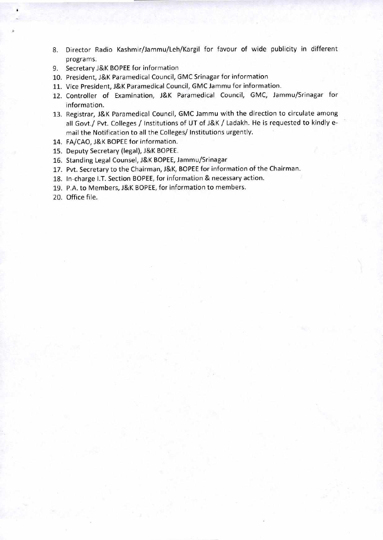- 8. Director Radio Kashmir/Jammu/Leh/Kargil for favour of wide publicity in different programs.
- 9. Secretary J&K BOPEE for information
- 10. President, J&K Paramedical Council, GMC Srinagar for information
- 11. Vice President, J&K Paramedical Council, GMC Jammu for information.
- 12. Controller of Examination, J&K Paramedical Council, GMC, Jammu/Srinagar for information.
- 13. Registrar, J&K Paramedical Council, GMC Jammu with the direction to circulate among all Govt./ Pvt. Colleges / Institutions of UT of J&K / Ladakh. He is requested to kindly email the Notification to all the Colleges/ Institutions urgently.
- 14. FA/CAO, J&K BOPEE for information.
- 15. Deputy Secretary (legal), J&K BOPEE.
- 16. Standing Legal Counsel, J&K BOPEE, Jammu/Srinagar
- 17. Pvt. Secretary to the Chairman, J&K, BOPEE for information of the Chairman.
- 18. In-charge I.T. Section BOPEE, for information & necessary action.
- 19. P.A. to Members, J&K BOPEE, for information to members.
- 20. Office file.